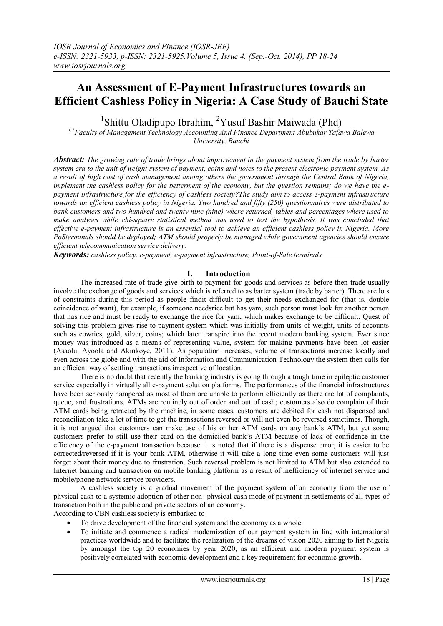# **An Assessment of E-Payment Infrastructures towards an Efficient Cashless Policy in Nigeria: A Case Study of Bauchi State**

<sup>1</sup>Shittu Oladipupo Ibrahim, <sup>2</sup>Yusuf Bashir Maiwada (Phd)

*1,2Faculty of Management Technology Accounting And Finance Department Abubukar Tafawa Balewa University, Bauchi*

*Abstract: The growing rate of trade brings about improvement in the payment system from the trade by barter system era to the unit of weight system of payment, coins and notes to the present electronic payment system. As a result of high cost of cash management among others the government through the Central Bank of Nigeria, implement the cashless policy for the betterment of the economy, but the question remains; do we have the epayment infrastructure for the efficiency of cashless society?The study aim to access e-payment infrastructure towards an efficient cashless policy in Nigeria. Two hundred and fifty (250) questionnaires were distributed to bank customers and two hundred and twenty nine (nine) where returned, tables and percentages where used to make analyses while chi-square statistical method was used to test the hypothesis. It was concluded that effective e-payment infrastructure is an essential tool to achieve an efficient cashless policy in Nigeria. More PoSterminals should be deployed; ATM should properly be managed while government agencies should ensure efficient telecommunication service delivery.*

*Keywords: cashless policy, e-payment, e-payment infrastructure, Point-of-Sale terminals*

#### **I. Introduction**

The increased rate of trade give birth to payment for goods and services as before then trade usually involve the exchange of goods and services which is referred to as barter system (trade by barter). There are lots of constraints during this period as people findit difficult to get their needs exchanged for (that is, double coincidence of want), for example, if someone needsrice but has yam, such person must look for another person that has rice and must be ready to exchange the rice for yam, which makes exchange to be difficult. Quest of solving this problem gives rise to payment system which was initially from units of weight, units of accounts such as cowries, gold, silver, coins; which later transpire into the recent modern banking system. Ever since money was introduced as a means of representing value, system for making payments have been lot easier (Asaolu, Ayoola and Akinkoye, 2011). As population increases, volume of transactions increase locally and even across the globe and with the aid of Information and Communication Technology the system then calls for an efficient way of settling transactions irrespective of location.

There is no doubt that recently the banking industry is going through a tough time in epileptic customer service especially in virtually all e-payment solution platforms. The performances of the financial infrastructures have been seriously hampered as most of them are unable to perform efficiently as there are lot of complaints, queue, and frustrations. ATMs are routinely out of order and out of cash; customers also do complain of their ATM cards being retracted by the machine, in some cases, customers are debited for cash not dispensed and reconciliation take a lot of time to get the transactions reversed or will not even be reversed sometimes. Though, it is not argued that customers can make use of his or her ATM cards on any bank's ATM, but yet some customers prefer to still use their card on the domiciled bank's ATM because of lack of confidence in the efficiency of the e-payment transaction because it is noted that if there is a dispense error, it is easier to be corrected/reversed if it is your bank ATM, otherwise it will take a long time even some customers will just forget about their money due to frustration. Such reversal problem is not limited to ATM but also extended to Internet banking and transaction on mobile banking platform as a result of inefficiency of internet service and mobile/phone network service providers.

A cashless society is a gradual movement of the payment system of an economy from the use of physical cash to a systemic adoption of other non- physical cash mode of payment in settlements of all types of transaction both in the public and private sectors of an economy.

According to CBN cashless society is embarked to

- To drive development of the financial system and the economy as a whole.
- To initiate and commence a radical modernization of our payment system in line with international practices worldwide and to facilitate the realization of the dreams of vision 2020 aiming to list Nigeria by amongst the top 20 economies by year 2020, as an efficient and modern payment system is positively correlated with economic development and a key requirement for economic growth.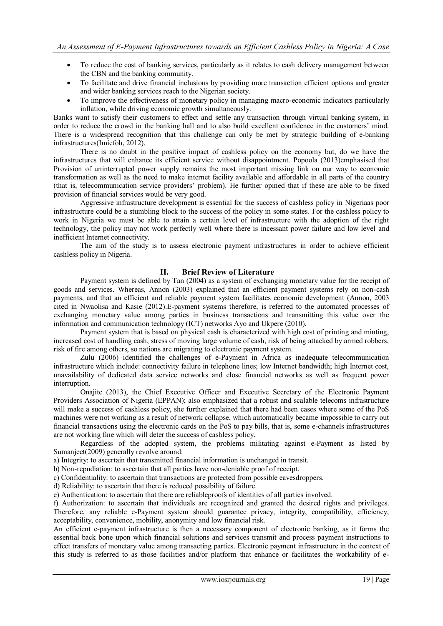- To reduce the cost of banking services, particularly as it relates to cash delivery management between the CBN and the banking community.
- To facilitate and drive financial inclusions by providing more transaction efficient options and greater and wider banking services reach to the Nigerian society.
- To improve the effectiveness of monetary policy in managing macro-economic indicators particularly inflation, while driving economic growth simultaneously.

Banks want to satisfy their customers to effect and settle any transaction through virtual banking system, in order to reduce the crowd in the banking hall and to also build excellent confidence in the customers' mind. There is a widespread recognition that this challenge can only be met by strategic building of e-banking infrastructures(Imiefoh, 2012).

There is no doubt in the positive impact of cashless policy on the economy but, do we have the infrastructures that will enhance its efficient service without disappointment. Popoola (2013)emphasised that Provision of uninterrupted power supply remains the most important missing link on our way to economic transformation as well as the need to make internet facility available and affordable in all parts of the country (that is, telecommunication service providers' problem). He further opined that if these are able to be fixed provision of financial services would be very good.

Aggressive infrastructure development is essential for the success of cashless policy in Nigeriaas poor infrastructure could be a stumbling block to the success of the policy in some states. For the cashless policy to work in Nigeria we must be able to attain a certain level of infrastructure with the adoption of the right technology, the policy may not work perfectly well where there is incessant power failure and low level and inefficient Internet connectivity.

The aim of the study is to assess electronic payment infrastructures in order to achieve efficient cashless policy in Nigeria.

# **II. Brief Review of Literature**

Payment system is defined by Tan (2004) as a system of exchanging monetary value for the receipt of goods and services. Whereas, Annon (2003) explained that an efficient payment systems rely on non-cash payments, and that an efficient and reliable payment system facilitates economic development (Annon, 2003 cited in Nwaolisa and Kasie (2012).E-payment systems therefore, is referred to the automated processes of exchanging monetary value among parties in business transactions and transmitting this value over the information and communication technology (ICT) networks Ayo and Ukpere (2010).

Payment system that is based on physical cash is characterized with high cost of printing and minting, increased cost of handling cash, stress of moving large volume of cash, risk of being attacked by armed robbers, risk of fire among others, so nations are migrating to electronic payment system.

Zulu (2006) identified the challenges of e-Payment in Africa as inadequate telecommunication infrastructure which include: connectivity failure in telephone lines; low Internet bandwidth; high Internet cost, unavailability of dedicated data service networks and close financial networks as well as frequent power interruption.

Onajite (2013), the Chief Executive Officer and Executive Secretary of the Electronic Payment Providers Association of Nigeria (EPPAN); also emphasized that a robust and scalable telecoms infrastructure will make a success of cashless policy, she further explained that there had been cases where some of the PoS machines were not working as a result of network collapse, which automatically became impossible to carry out financial transactions using the electronic cards on the PoS to pay bills, that is, some e-channels infrastructures are not working fine which will deter the success of cashless policy.

Regardless of the adopted system, the problems militating against e-Payment as listed by Sumanjeet(2009) generally revolve around:

a) Integrity: to ascertain that transmitted financial information is unchanged in transit.

b) Non-repudiation: to ascertain that all parties have non-deniable proof of receipt.

c) Confidentiality: to ascertain that transactions are protected from possible eavesdroppers.

d) Reliability: to ascertain that there is reduced possibility of failure.

e) Authentication: to ascertain that there are reliableproofs of identities of all parties involved.

f) Authorization: to ascertain that individuals are recognized and granted the desired rights and privileges. Therefore, any reliable e-Payment system should guarantee privacy, integrity, compatibility, efficiency, acceptability, convenience, mobility, anonymity and low financial risk.

An efficient e-payment infrastructure is then a necessary component of electronic banking, as it forms the essential back bone upon which financial solutions and services transmit and process payment instructions to effect transfers of monetary value among transacting parties. Electronic payment infrastructure in the context of this study is referred to as those facilities and/or platform that enhance or facilitates the workability of e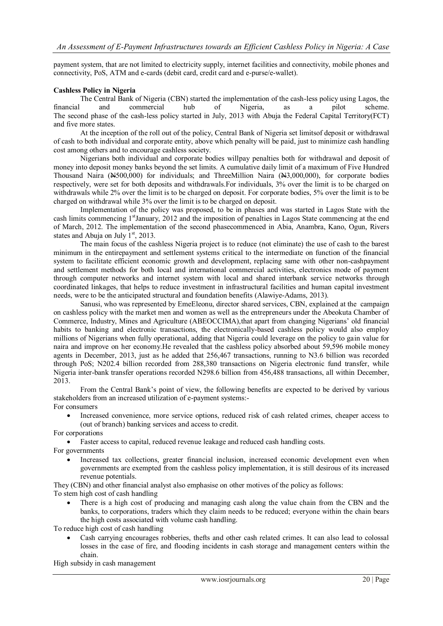payment system, that are not limited to electricity supply, internet facilities and connectivity, mobile phones and connectivity, PoS, ATM and e-cards (debit card, credit card and e-purse/e-wallet).

#### **Cashless Policy in Nigeria**

The Central Bank of Nigeria (CBN) started the implementation of the cash-less policy using Lagos, the and commercial hub of Nigeria, as a pilot scheme. financial and commercial hub of Nigeria, as a pilot scheme. The second phase of the cash-less policy started in July, 2013 with Abuja the Federal Capital Territory(FCT) and five more states.

At the inception of the roll out of the policy, Central Bank of Nigeria set limitsof deposit or withdrawal of cash to both individual and corporate entity, above which penalty will be paid, just to minimize cash handling cost among others and to encourage cashless society.

Nigerians both individual and corporate bodies willpay penalties both for withdrawal and deposit of money into deposit money banks beyond the set limits. A cumulative daily limit of a maximum of Five Hundred Thousand Naira  $(*500,000)$  for individuals; and ThreeMillion Naira  $(*3,000,000)$ , for corporate bodies respectively, were set for both deposits and withdrawals.For individuals, 3% over the limit is to be charged on withdrawals while 2% over the limit is to be charged on deposit. For corporate bodies, 5% over the limit is to be charged on withdrawal while 3% over the limit is to be charged on deposit.

Implementation of the policy was proposed, to be in phases and was started in Lagos State with the cash limits commencing 1stJanuary, 2012 and the imposition of penalties in Lagos State commencing at the end of March, 2012. The implementation of the second phasecommenced in Abia, Anambra, Kano, Ogun, Rivers states and Abuja on July  $1<sup>st</sup>$ , 2013.

The main focus of the cashless Nigeria project is to reduce (not eliminate) the use of cash to the barest minimum in the entirepayment and settlement systems critical to the intermediate on function of the financial system to facilitate efficient economic growth and development, replacing same with other non-cashpayment and settlement methods for both local and international commercial activities, electronics mode of payment through computer networks and internet system with local and shared interbank service networks through coordinated linkages, that helps to reduce investment in infrastructural facilities and human capital investment needs, were to be the anticipated structural and foundation benefits (Alawiye-Adams, 2013).

Sanusi, who was represented by EmeEleonu, director shared services, CBN, explained at the campaign on cashless policy with the market men and women as well as the entrepreneurs under the Abeokuta Chamber of Commerce, Industry, Mines and Agriculture (ABEOCCIMA),that apart from changing Nigerians' old financial habits to banking and electronic transactions, the electronically-based cashless policy would also employ millions of Nigerians when fully operational, adding that Nigeria could leverage on the policy to gain value for naira and improve on her economy.He revealed that the cashless policy absorbed about 59,596 mobile money agents in December, 2013, just as he added that 256,467 transactions, running to N3.6 billion was recorded through PoS; N202.4 billion recorded from 288,380 transactions on Nigeria electronic fund transfer, while Nigeria inter-bank transfer operations recorded N298.6 billion from 456,488 transactions, all within December, 2013.

From the Central Bank's point of view, the following benefits are expected to be derived by various stakeholders from an increased utilization of e-payment systems:- For consumers

 Increased convenience, more service options, reduced risk of cash related crimes, cheaper access to (out of branch) banking services and access to credit.

For corporations

Faster access to capital, reduced revenue leakage and reduced cash handling costs.

For governments

 Increased tax collections, greater financial inclusion, increased economic development even when governments are exempted from the cashless policy implementation, it is still desirous of its increased revenue potentials.

They (CBN) and other financial analyst also emphasise on other motives of the policy as follows:

To stem high cost of cash handling

 There is a high cost of producing and managing cash along the value chain from the CBN and the banks, to corporations, traders which they claim needs to be reduced; everyone within the chain bears the high costs associated with volume cash handling.

To reduce high cost of cash handling

 Cash carrying encourages robberies, thefts and other cash related crimes. It can also lead to colossal losses in the case of fire, and flooding incidents in cash storage and management centers within the chain.

High subsidy in cash management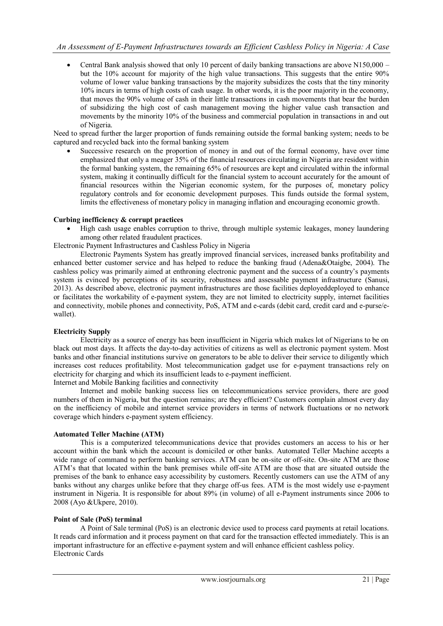Central Bank analysis showed that only 10 percent of daily banking transactions are above N150,000 – but the 10% account for majority of the high value transactions. This suggests that the entire 90% volume of lower value banking transactions by the majority subsidizes the costs that the tiny minority 10% incurs in terms of high costs of cash usage. In other words, it is the poor majority in the economy, that moves the 90% volume of cash in their little transactions in cash movements that bear the burden of subsidizing the high cost of cash management moving the higher value cash transaction and movements by the minority 10% of the business and commercial population in transactions in and out of Nigeria.

Need to spread further the larger proportion of funds remaining outside the formal banking system; needs to be captured and recycled back into the formal banking system

 Successive research on the proportion of money in and out of the formal economy, have over time emphasized that only a meager 35% of the financial resources circulating in Nigeria are resident within the formal banking system, the remaining 65% of resources are kept and circulated within the informal system, making it continually difficult for the financial system to account accurately for the amount of financial resources within the Nigerian economic system, for the purposes of, monetary policy regulatory controls and for economic development purposes. This funds outside the formal system, limits the effectiveness of monetary policy in managing inflation and encouraging economic growth.

#### **Curbing inefficiency & corrupt practices**

- High cash usage enables corruption to thrive, through multiple systemic leakages, money laundering among other related fraudulent practices.
- Electronic Payment Infrastructures and Cashless Policy in Nigeria

Electronic Payments System has greatly improved financial services, increased banks profitability and enhanced better customer service and has helped to reduce the banking fraud (Adena&Otaigbe, 2004). The cashless policy was primarily aimed at enthroning electronic payment and the success of a country's payments system is evinced by perceptions of its security, robustness and assessable payment infrastructure (Sanusi, 2013). As described above, electronic payment infrastructures are those facilities deployeddeployed to enhance or facilitates the workability of e-payment system, they are not limited to electricity supply, internet facilities and connectivity, mobile phones and connectivity, PoS, ATM and e-cards (debit card, credit card and e-purse/ewallet).

# **Electricity Supply**

Electricity as a source of energy has been insufficient in Nigeria which makes lot of Nigerians to be on black out most days. It affects the day-to-day activities of citizens as well as electronic payment system. Most banks and other financial institutions survive on generators to be able to deliver their service to diligently which increases cost reduces profitability. Most telecommunication gadget use for e-payment transactions rely on electricity for charging and which its insufficient leads to e-payment inefficient.

Internet and Mobile Banking facilities and connectivity

Internet and mobile banking success lies on telecommunications service providers, there are good numbers of them in Nigeria, but the question remains; are they efficient? Customers complain almost every day on the inefficiency of mobile and internet service providers in terms of network fluctuations or no network coverage which hinders e-payment system efficiency.

#### **Automated Teller Machine (ATM)**

This is a computerized telecommunications device that provides customers an access to his or her account within the bank which the account is domiciled or other banks. Automated Teller Machine accepts a wide range of command to perform banking services. ATM can be on-site or off-site. On-site ATM are those ATM's that that located within the bank premises while off-site ATM are those that are situated outside the premises of the bank to enhance easy accessibility by customers. Recently customers can use the ATM of any banks without any charges unlike before that they charge off-us fees. ATM is the most widely use e-payment instrument in Nigeria. It is responsible for about 89% (in volume) of all e-Payment instruments since 2006 to 2008 (Ayo &Ukpere, 2010).

#### **Point of Sale (PoS) terminal**

A Point of Sale terminal (PoS) is an electronic device used to process card payments at retail locations. It reads card information and it process payment on that card for the transaction effected immediately. This is an important infrastructure for an effective e-payment system and will enhance efficient cashless policy. Electronic Cards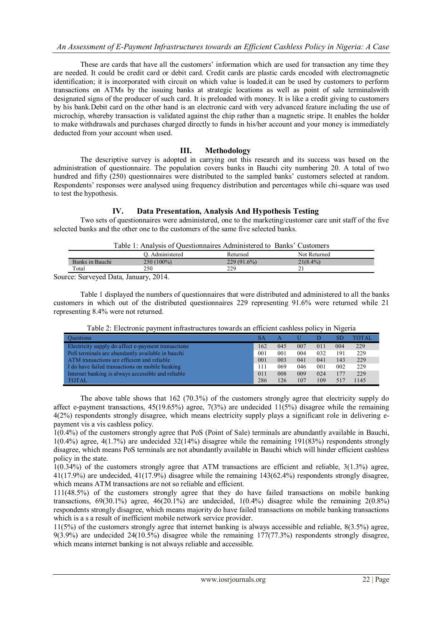These are cards that have all the customers' information which are used for transaction any time they are needed. It could be credit card or debit card. Credit cards are plastic cards encoded with electromagnetic identification; it is incorporated with circuit on which value is loaded.it can be used by customers to perform transactions on ATMs by the issuing banks at strategic locations as well as point of sale terminalswith designated signs of the producer of such card. It is preloaded with money. It is like a credit giving to customers by his bank.Debit card on the other hand is an electronic card with very advanced feature including the use of microchip, whereby transaction is validated against the chip rather than a magnetic stripe. It enables the holder to make withdrawals and purchases charged directly to funds in his/her account and your money is immediately deducted from your account when used.

# **III. Methodology**

The descriptive survey is adopted in carrying out this research and its success was based on the administration of questionnaire. The population covers banks in Bauchi city numbering 20. A total of two hundred and fifty (250) questionnaires were distributed to the sampled banks' customers selected at random. Respondents' responses were analysed using frequency distribution and percentages while chi-square was used to test the hypothesis.

### **IV. Data Presentation, Analysis And Hypothesis Testing**

Two sets of questionnaires were administered, one to the marketing/customer care unit staff of the five selected banks and the other one to the customers of the same five selected banks.

| Table 1: Analysis of Questionnaires Administered to Banks' Customers |                 |               |              |  |  |  |
|----------------------------------------------------------------------|-----------------|---------------|--------------|--|--|--|
|                                                                      | O. Administered | Returned      | Not Returned |  |  |  |
| Banks in Bauchi                                                      | $250(100\%)$    | $229(91.6\%)$ | $21(8.4\%)$  |  |  |  |
| Total                                                                | 250             | 229           |              |  |  |  |
| --                                                                   | - - - -         |               |              |  |  |  |

Source: Surveyed Data, January, 2014.

Table 1 displayed the numbers of questionnaires that were distributed and administered to all the banks customers in which out of the distributed questionnaires 229 representing 91.6% were returned while 21 representing 8.4% were not returned.

| <b>Ouestions</b>                                    | SА  |     |     |     |     | TOTAL |
|-----------------------------------------------------|-----|-----|-----|-----|-----|-------|
| Electricity supply do affect e-payment transactions | 162 | 045 | 007 | 011 | 004 | 229   |
| PoS terminals are abundantly available in bauchi    | 001 | 001 | 004 | 032 | 191 | 229   |
| ATM transactions are efficient and reliable         | 001 | 003 | 041 | 041 | 143 | 229   |
| I do have failed transactions on mobile banking     | 111 | 069 | 046 | 001 | 002 | 229   |
| Internet banking is always accessible and reliable  | 011 | 008 | 009 | 024 | 177 | 229   |
| <b>TOTAL</b>                                        | 286 | 126 | 107 | 109 |     | 1145  |

Table 2: Electronic payment infrastructures towards an efficient cashless policy in Nigeria

The above table shows that 162 (70.3%) of the customers strongly agree that electricity supply do affect e-payment transactions,  $45(19.65%)$  agree,  $7(3%)$  are undecided  $11(5%)$  disagree while the remaining 4(2%) respondents strongly disagree, which means electricity supply plays a significant role in delivering epayment vis a vis cashless policy.

1(0.4%) of the customers strongly agree that PoS (Point of Sale) terminals are abundantly available in Bauchi, 1(0.4%) agree, 4(1.7%) are undecided 32(14%) disagree while the remaining 191(83%) respondents strongly disagree, which means PoS terminals are not abundantly available in Bauchi which will hinder efficient cashless policy in the state.

1(0.34%) of the customers strongly agree that ATM transactions are efficient and reliable, 3(1.3%) agree, 41(17.9%) are undecided, 41(17.9%) disagree while the remaining 143(62.4%) respondents strongly disagree, which means ATM transactions are not so reliable and efficient.

111(48.5%) of the customers strongly agree that they do have failed transactions on mobile banking transactions,  $69(30.1\%)$  agree,  $46(20.1\%)$  are undecided,  $1(0.4\%)$  disagree while the remaining  $2(0.8\%)$ respondents strongly disagree, which means majority do have failed transactions on mobile banking transactions which is a s a result of inefficient mobile network service provider.

11(5%) of the customers strongly agree that internet banking is always accessible and reliable, 8(3.5%) agree, 9(3.9%) are undecided 24(10.5%) disagree while the remaining 177(77.3%) respondents strongly disagree, which means internet banking is not always reliable and accessible.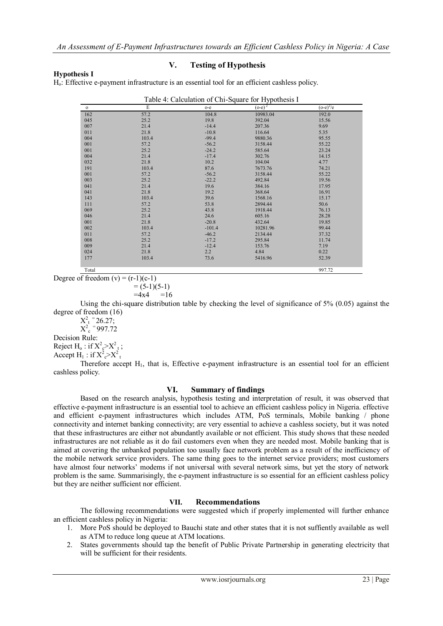## **Hypothesis I**

## **V. Testing of Hypothesis**

Ho: Effective e-payment infrastructure is an essential tool for an efficient cashless policy.

| $\mathbf{o}$ | E     | $o-e$    | $(o-e)^2$ | $(o-e)^2/e$ |
|--------------|-------|----------|-----------|-------------|
| 162          | 57.2  | 104.8    | 10983.04  | 192.0       |
| 045          | 25.2  | 19.8     | 392.04    | 15.56       |
| 007          | 21.4  | $-14.4$  | 207.36    | 9.69        |
| 011          | 21.8  | $-10.8$  | 116.64    | 5.35        |
| 004          | 103.4 | $-99.4$  | 9880.36   | 95.55       |
| 001          | 57.2  | $-56.2$  | 3158.44   | 55.22       |
| 001          | 25.2  | $-24.2$  | 585.64    | 23.24       |
| 004          | 21.4  | $-17.4$  | 302.76    | 14.15       |
| 032          | 21.8  | 10.2     | 104.04    | 4.77        |
| 191          | 103.4 | 87.6     | 7673.76   | 74.21       |
| 001          | 57.2  | $-56.2$  | 3158.44   | 55.22       |
| 003          | 25.2  | $-22.2$  | 492.84    | 19.56       |
| 041          | 21.4  | 19.6     | 384.16    | 17.95       |
| 041          | 21.8  | 19.2     | 368.64    | 16.91       |
| 143          | 103.4 | 39.6     | 1568.16   | 15.17       |
| 111          | 57.2  | 53.8     | 2894.44   | 50.6        |
| 069          | 25.2  | 43.8     | 1918.44   | 76.13       |
| 046          | 21.4  | 24.6     | 605.16    | 28.28       |
| 001          | 21.8  | $-20.8$  | 432.64    | 19.85       |
| 002          | 103.4 | $-101.4$ | 10281.96  | 99.44       |
| 011          | 57.2  | $-46.2$  | 2134.44   | 37.32       |
| 008          | 25.2  | $-17.2$  | 295.84    | 11.74       |
| 009          | 21.4  | $-12.4$  | 153.76    | 7.19        |
| 024          | 21.8  | 2.2      | 4.84      | 0.22        |
| 177          | 103.4 | 73.6     | 5416.96   | 52.39       |
| Total        |       |          |           | 997.72      |

Degree of freedom  $(v) = (r-1)(c-1)$ 

$$
= (5-1)(5-1)
$$

 $=4x4 = 16$ 

Using the chi-square distribution table by checking the level of significance of  $5\%$  (0.05) against the degree of freedom (16)

 $X_t^2 = 26.27;$ 

 $X_c^2$  = 997.72

Decision Rule:

Reject  $H_0$ : if  $X^2 e > X^2 t$ ; Accept  $H_1$ : if  $X^2 e^{-X^2}$ 

Therefore accept H<sub>1</sub>, that is, Effective e-payment infrastructure is an essential tool for an efficient cashless policy.

# **VI. Summary of findings**

Based on the research analysis, hypothesis testing and interpretation of result, it was observed that effective e-payment infrastructure is an essential tool to achieve an efficient cashless policy in Nigeria. effective and efficient e-payment infrastructures which includes ATM, PoS terminals, Mobile banking / phone connectivity and internet banking connectivity; are very essential to achieve a cashless society, but it was noted that these infrastructures are either not abundantly available or not efficient. This study shows that these needed infrastructures are not reliable as it do fail customers even when they are needed most. Mobile banking that is aimed at covering the unbanked population too usually face network problem as a result of the inefficiency of the mobile network service providers. The same thing goes to the internet service providers; most customers have almost four networks' modems if not universal with several network sims, but yet the story of network problem is the same. Summarisingly, the e-payment infrastructure is so essential for an efficient cashless policy but they are neither sufficient nor efficient.

# **VII. Recommendations**

The following recommendations were suggested which if properly implemented will further enhance an efficient cashless policy in Nigeria:

- 1. More PoS should be deployed to Bauchi state and other states that it is not suffiently available as well as ATM to reduce long queue at ATM locations.
- 2. States governments should tap the benefit of Public Private Partnership in generating electricity that will be sufficient for their residents.